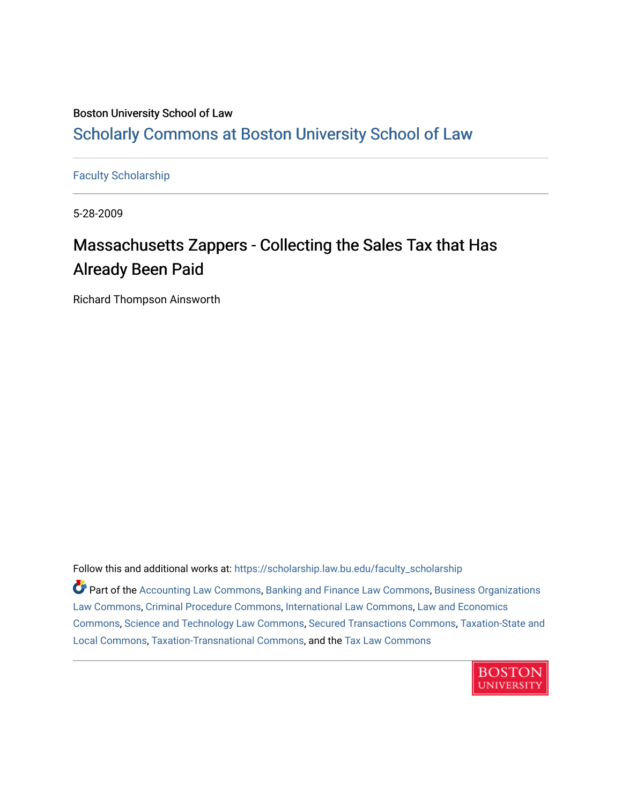# Boston University School of Law [Scholarly Commons at Boston University School of Law](https://scholarship.law.bu.edu/)

[Faculty Scholarship](https://scholarship.law.bu.edu/faculty_scholarship)

5-28-2009

# Massachusetts Zappers - Collecting the Sales Tax that Has Already Been Paid

Richard Thompson Ainsworth

Follow this and additional works at: [https://scholarship.law.bu.edu/faculty\\_scholarship](https://scholarship.law.bu.edu/faculty_scholarship?utm_source=scholarship.law.bu.edu%2Ffaculty_scholarship%2F1479&utm_medium=PDF&utm_campaign=PDFCoverPages)

Part of the [Accounting Law Commons](http://network.bepress.com/hgg/discipline/828?utm_source=scholarship.law.bu.edu%2Ffaculty_scholarship%2F1479&utm_medium=PDF&utm_campaign=PDFCoverPages), [Banking and Finance Law Commons](http://network.bepress.com/hgg/discipline/833?utm_source=scholarship.law.bu.edu%2Ffaculty_scholarship%2F1479&utm_medium=PDF&utm_campaign=PDFCoverPages), [Business Organizations](http://network.bepress.com/hgg/discipline/900?utm_source=scholarship.law.bu.edu%2Ffaculty_scholarship%2F1479&utm_medium=PDF&utm_campaign=PDFCoverPages) [Law Commons,](http://network.bepress.com/hgg/discipline/900?utm_source=scholarship.law.bu.edu%2Ffaculty_scholarship%2F1479&utm_medium=PDF&utm_campaign=PDFCoverPages) [Criminal Procedure Commons,](http://network.bepress.com/hgg/discipline/1073?utm_source=scholarship.law.bu.edu%2Ffaculty_scholarship%2F1479&utm_medium=PDF&utm_campaign=PDFCoverPages) [International Law Commons,](http://network.bepress.com/hgg/discipline/609?utm_source=scholarship.law.bu.edu%2Ffaculty_scholarship%2F1479&utm_medium=PDF&utm_campaign=PDFCoverPages) [Law and Economics](http://network.bepress.com/hgg/discipline/612?utm_source=scholarship.law.bu.edu%2Ffaculty_scholarship%2F1479&utm_medium=PDF&utm_campaign=PDFCoverPages) [Commons](http://network.bepress.com/hgg/discipline/612?utm_source=scholarship.law.bu.edu%2Ffaculty_scholarship%2F1479&utm_medium=PDF&utm_campaign=PDFCoverPages), [Science and Technology Law Commons,](http://network.bepress.com/hgg/discipline/875?utm_source=scholarship.law.bu.edu%2Ffaculty_scholarship%2F1479&utm_medium=PDF&utm_campaign=PDFCoverPages) [Secured Transactions Commons](http://network.bepress.com/hgg/discipline/876?utm_source=scholarship.law.bu.edu%2Ffaculty_scholarship%2F1479&utm_medium=PDF&utm_campaign=PDFCoverPages), [Taxation-State and](http://network.bepress.com/hgg/discipline/882?utm_source=scholarship.law.bu.edu%2Ffaculty_scholarship%2F1479&utm_medium=PDF&utm_campaign=PDFCoverPages)  [Local Commons,](http://network.bepress.com/hgg/discipline/882?utm_source=scholarship.law.bu.edu%2Ffaculty_scholarship%2F1479&utm_medium=PDF&utm_campaign=PDFCoverPages) [Taxation-Transnational Commons](http://network.bepress.com/hgg/discipline/883?utm_source=scholarship.law.bu.edu%2Ffaculty_scholarship%2F1479&utm_medium=PDF&utm_campaign=PDFCoverPages), and the [Tax Law Commons](http://network.bepress.com/hgg/discipline/898?utm_source=scholarship.law.bu.edu%2Ffaculty_scholarship%2F1479&utm_medium=PDF&utm_campaign=PDFCoverPages) 

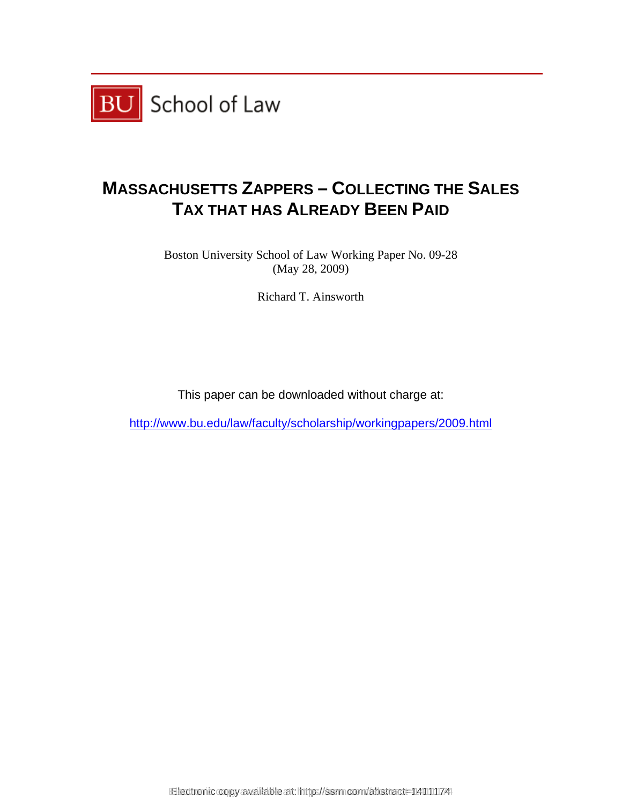

# **MASSACHUSETTS ZAPPERS – COLLECTING THE SALES TAX THAT HAS ALREADY BEEN PAID**

Boston University School of Law Working Paper No. 09-28 (May 28, 2009)

Richard T. Ainsworth

This paper can be downloaded without charge at:

http://www.bu.edu/law/faculty/scholarship/workingpapers/2009.html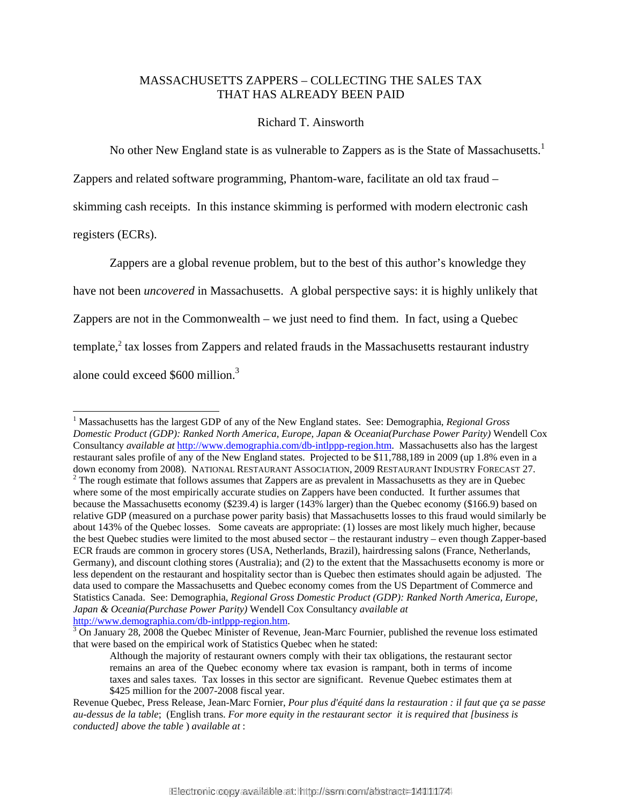### MASSACHUSETTS ZAPPERS – COLLECTING THE SALES TAX THAT HAS ALREADY BEEN PAID

#### Richard T. Ainsworth

No other New England state is as vulnerable to Zappers as is the State of Massachusetts.<sup>1</sup>

Zappers and related software programming, Phantom-ware, facilitate an old tax fraud –

skimming cash receipts. In this instance skimming is performed with modern electronic cash

registers (ECRs).

l

Zappers are a global revenue problem, but to the best of this author's knowledge they have not been *uncovered* in Massachusetts. A global perspective says: it is highly unlikely that Zappers are not in the Commonwealth – we just need to find them. In fact, using a Quebec template, $^{2}$  tax losses from Zappers and related frauds in the Massachusetts restaurant industry alone could exceed \$600 million.<sup>3</sup>

<sup>&</sup>lt;sup>1</sup> Massachusetts has the largest GDP of any of the New England states. See: Demographia, *Regional Gross Domestic Product (GDP): Ranked North America, Europe, Japan & Oceania(Purchase Power Parity)* Wendell Cox Consultancy *available at* http://www.demographia.com/db-intlppp-region.htm. Massachusetts also has the largest restaurant sales profile of any of the New England states. Projected to be \$11,788,189 in 2009 (up 1.8% even in a down economy from 2008). NATIONAL RESTAURANT ASSOCIATION, 2009 RESTAURANT INDUSTRY FORECAST 27.  $2$  The rough estimate that follows assumes that Zappers are as prevalent in Massachusetts as they are in Quebec where some of the most empirically accurate studies on Zappers have been conducted. It further assumes that because the Massachusetts economy (\$239.4) is larger (143% larger) than the Quebec economy (\$166.9) based on relative GDP (measured on a purchase power parity basis) that Massachusetts losses to this fraud would similarly be about 143% of the Quebec losses. Some caveats are appropriate: (1) losses are most likely much higher, because the best Quebec studies were limited to the most abused sector – the restaurant industry – even though Zapper-based ECR frauds are common in grocery stores (USA, Netherlands, Brazil), hairdressing salons (France, Netherlands, Germany), and discount clothing stores (Australia); and (2) to the extent that the Massachusetts economy is more or less dependent on the restaurant and hospitality sector than is Quebec then estimates should again be adjusted. The data used to compare the Massachusetts and Quebec economy comes from the US Department of Commerce and Statistics Canada. See: Demographia, *Regional Gross Domestic Product (GDP): Ranked North America, Europe, Japan & Oceania(Purchase Power Parity)* Wendell Cox Consultancy *available at* http://www.demographia.com/db-intlppp-region.htm.

 $3$  On January 28, 2008 the Quebec Minister of Revenue, Jean-Marc Fournier, published the revenue loss estimated that were based on the empirical work of Statistics Quebec when he stated:

Although the majority of restaurant owners comply with their tax obligations, the restaurant sector remains an area of the Quebec economy where tax evasion is rampant, both in terms of income taxes and sales taxes. Tax losses in this sector are significant. Revenue Quebec estimates them at \$425 million for the 2007-2008 fiscal year.

Revenue Quebec, Press Release, Jean-Marc Fornier, *Pour plus d'équité dans la restauration : il faut que ça se passe au-dessus de la table*; (English trans. *For more equity in the restaurant sector it is required that [business is conducted] above the table* ) *available at* :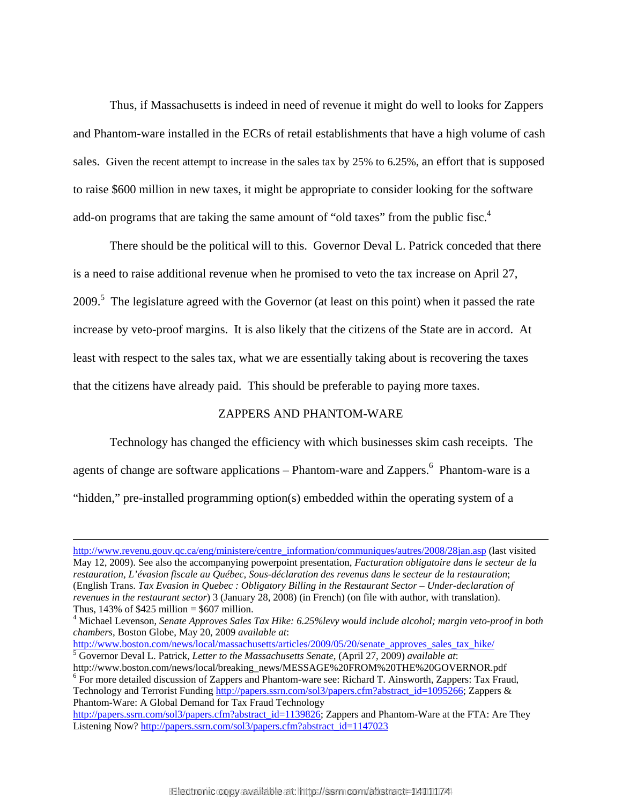Thus, if Massachusetts is indeed in need of revenue it might do well to looks for Zappers and Phantom-ware installed in the ECRs of retail establishments that have a high volume of cash sales. Given the recent attempt to increase in the sales tax by 25% to 6.25%, an effort that is supposed to raise \$600 million in new taxes, it might be appropriate to consider looking for the software add-on programs that are taking the same amount of "old taxes" from the public fisc.<sup>4</sup>

There should be the political will to this. Governor Deval L. Patrick conceded that there is a need to raise additional revenue when he promised to veto the tax increase on April 27, 2009.<sup>5</sup> The legislature agreed with the Governor (at least on this point) when it passed the rate increase by veto-proof margins. It is also likely that the citizens of the State are in accord. At least with respect to the sales tax, what we are essentially taking about is recovering the taxes that the citizens have already paid. This should be preferable to paying more taxes.

### ZAPPERS AND PHANTOM-WARE

 Technology has changed the efficiency with which businesses skim cash receipts. The agents of change are software applications – Phantom-ware and Zappers.  $6$  Phantom-ware is a "hidden," pre-installed programming option(s) embedded within the operating system of a

http://www.boston.com/news/local/massachusetts/articles/2009/05/20/senate\_approves\_sales\_tax\_hike/

l

http://www.revenu.gouv.qc.ca/eng/ministere/centre\_information/communiques/autres/2008/28jan.asp (last visited May 12, 2009). See also the accompanying powerpoint presentation, *Facturation obligatoire dans le secteur de la restauration, L'évasion fiscale au Québec, Sous-déclaration des revenus dans le secteur de la restauration*; (English Trans. *Tax Evasion in Quebec : Obligatory Billing in the Restaurant Sector – Under-declaration of revenues in the restaurant sector*) 3 (January 28, 2008) (in French) (on file with author, with translation). Thus,  $143\%$  of \$425 million = \$607 million.

<sup>4</sup> Michael Levenson, *Senate Approves Sales Tax Hike: 6.25%levy would include alcohol; margin veto-proof in both chambers*, Boston Globe, May 20, 2009 *available at*:

Governor Deval L. Patrick, *Letter to the Massachusetts Senate*, (April 27, 2009) *available at*: http://www.boston.com/news/local/breaking\_news/MESSAGE%20FROM%20THE%20GOVERNOR.pdf

<sup>&</sup>lt;sup>6</sup> For more detailed discussion of Zappers and Phantom-ware see: Richard T. Ainsworth, Zappers: Tax Fraud, Technology and Terrorist Funding http://papers.ssrn.com/sol3/papers.cfm?abstract\_id=1095266; Zappers & Phantom-Ware: A Global Demand for Tax Fraud Technology

http://papers.ssrn.com/sol3/papers.cfm?abstract\_id=1139826; Zappers and Phantom-Ware at the FTA: Are They Listening Now? http://papers.ssrn.com/sol3/papers.cfm?abstract\_id=1147023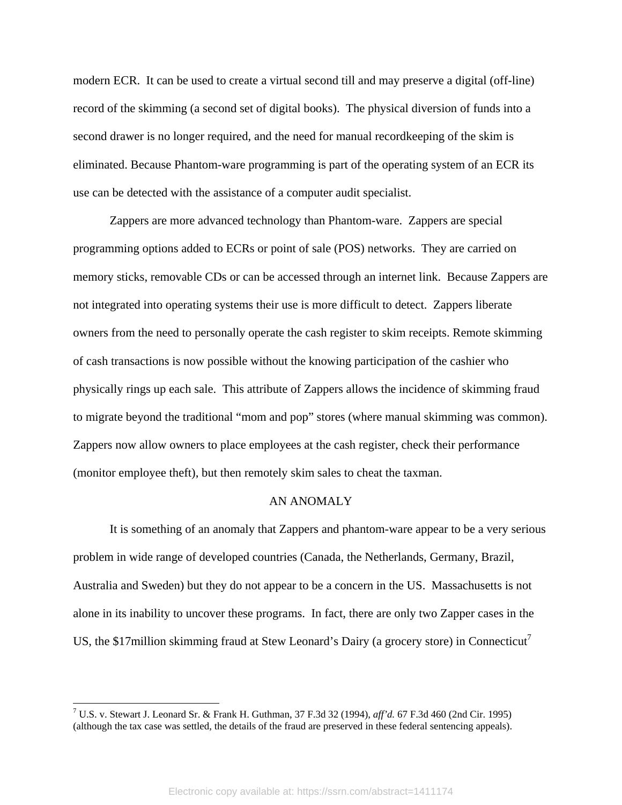modern ECR. It can be used to create a virtual second till and may preserve a digital (off-line) record of the skimming (a second set of digital books). The physical diversion of funds into a second drawer is no longer required, and the need for manual recordkeeping of the skim is eliminated. Because Phantom-ware programming is part of the operating system of an ECR its use can be detected with the assistance of a computer audit specialist.

Zappers are more advanced technology than Phantom-ware. Zappers are special programming options added to ECRs or point of sale (POS) networks. They are carried on memory sticks, removable CDs or can be accessed through an internet link. Because Zappers are not integrated into operating systems their use is more difficult to detect. Zappers liberate owners from the need to personally operate the cash register to skim receipts. Remote skimming of cash transactions is now possible without the knowing participation of the cashier who physically rings up each sale. This attribute of Zappers allows the incidence of skimming fraud to migrate beyond the traditional "mom and pop" stores (where manual skimming was common). Zappers now allow owners to place employees at the cash register, check their performance (monitor employee theft), but then remotely skim sales to cheat the taxman.

#### AN ANOMALY

 It is something of an anomaly that Zappers and phantom-ware appear to be a very serious problem in wide range of developed countries (Canada, the Netherlands, Germany, Brazil, Australia and Sweden) but they do not appear to be a concern in the US. Massachusetts is not alone in its inability to uncover these programs. In fact, there are only two Zapper cases in the US, the \$17 million skimming fraud at Stew Leonard's Dairy (a grocery store) in Connecticut<sup>7</sup>

 7 U.S. v. Stewart J. Leonard Sr. & Frank H. Guthman, 37 F.3d 32 (1994), *aff'd.* 67 F.3d 460 (2nd Cir. 1995) (although the tax case was settled, the details of the fraud are preserved in these federal sentencing appeals).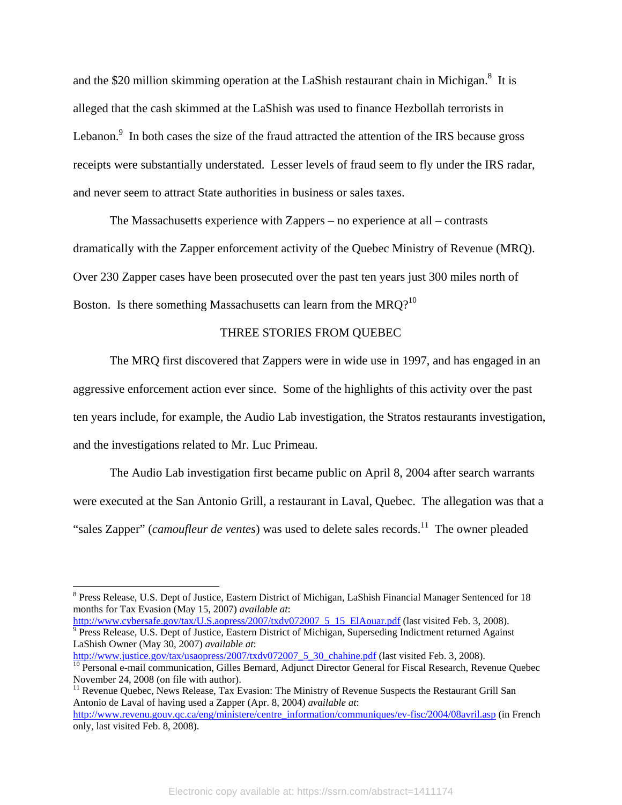and the \$20 million skimming operation at the LaShish restaurant chain in Michigan.<sup>8</sup> It is alleged that the cash skimmed at the LaShish was used to finance Hezbollah terrorists in Lebanon. $\degree$  In both cases the size of the fraud attracted the attention of the IRS because gross receipts were substantially understated. Lesser levels of fraud seem to fly under the IRS radar, and never seem to attract State authorities in business or sales taxes.

The Massachusetts experience with Zappers – no experience at all – contrasts dramatically with the Zapper enforcement activity of the Quebec Ministry of Revenue (MRQ). Over 230 Zapper cases have been prosecuted over the past ten years just 300 miles north of Boston. Is there something Massachusetts can learn from the MRQ?<sup>10</sup>

## THREE STORIES FROM QUEBEC

The MRQ first discovered that Zappers were in wide use in 1997, and has engaged in an aggressive enforcement action ever since. Some of the highlights of this activity over the past ten years include, for example, the Audio Lab investigation, the Stratos restaurants investigation, and the investigations related to Mr. Luc Primeau.

The Audio Lab investigation first became public on April 8, 2004 after search warrants were executed at the San Antonio Grill, a restaurant in Laval, Quebec. The allegation was that a "sales Zapper" *(camoufleur de ventes)* was used to delete sales records.<sup>11</sup> The owner pleaded

http://www.cybersafe.gov/tax/U.S.aopress/2007/txdv072007\_5\_15\_ElAouar.pdf (last visited Feb. 3, 2008). <sup>9</sup> Press Release, U.S. Dept of Justice, Eastern District of Michigan, Superseding Indictment returned Against LaShish Owner (May 30, 2007) *available at*:<br>http://www.justice.gov/tax/usaopress/2007/txdv072007 5 30 chahine.pdf (last visited Feb. 3, 2008).

<sup>&</sup>lt;sup>8</sup> Press Release, U.S. Dept of Justice, Eastern District of Michigan, LaShish Financial Manager Sentenced for 18 months for Tax Evasion (May 15, 2007) *available at*:

 $\overline{10}$  Personal e-mail communication, Gilles Bernard, Adjunct Director General for Fiscal Research, Revenue Quebec November 24, 2008 (on file with author).

<sup>&</sup>lt;sup>11</sup> Revenue Quebec, News Release, Tax Evasion: The Ministry of Revenue Suspects the Restaurant Grill San Antonio de Laval of having used a Zapper (Apr. 8, 2004) *available at*:

http://www.revenu.gouv.qc.ca/eng/ministere/centre\_information/communiques/ev-fisc/2004/08avril.asp (in French only, last visited Feb. 8, 2008).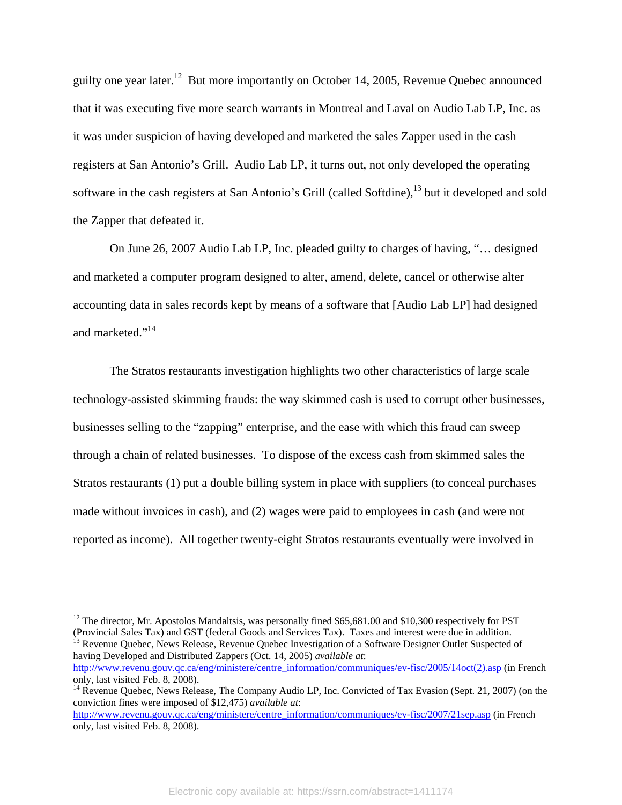guilty one year later.12 But more importantly on October 14, 2005, Revenue Quebec announced that it was executing five more search warrants in Montreal and Laval on Audio Lab LP, Inc. as it was under suspicion of having developed and marketed the sales Zapper used in the cash registers at San Antonio's Grill. Audio Lab LP, it turns out, not only developed the operating software in the cash registers at San Antonio's Grill (called Softdine),<sup>13</sup> but it developed and sold the Zapper that defeated it.

On June 26, 2007 Audio Lab LP, Inc. pleaded guilty to charges of having, "… designed and marketed a computer program designed to alter, amend, delete, cancel or otherwise alter accounting data in sales records kept by means of a software that [Audio Lab LP] had designed and marketed."<sup>14</sup>

The Stratos restaurants investigation highlights two other characteristics of large scale technology-assisted skimming frauds: the way skimmed cash is used to corrupt other businesses, businesses selling to the "zapping" enterprise, and the ease with which this fraud can sweep through a chain of related businesses. To dispose of the excess cash from skimmed sales the Stratos restaurants (1) put a double billing system in place with suppliers (to conceal purchases made without invoices in cash), and (2) wages were paid to employees in cash (and were not reported as income). All together twenty-eight Stratos restaurants eventually were involved in

l

<sup>13</sup> Revenue Quebec, News Release, Revenue Quebec Investigation of a Software Designer Outlet Suspected of having Developed and Distributed Zappers (Oct. 14, 2005) *available at*: http://www.revenu.gouv.qc.ca/eng/ministere/centre\_information/communiques/ev-fisc/2005/14oct(2).asp (in French

 $12$  The director, Mr. Apostolos Mandaltsis, was personally fined \$65,681.00 and \$10,300 respectively for PST (Provincial Sales Tax) and GST (federal Goods and Services Tax). Taxes and interest were due in addition.

only, last visited Feb. 8, 2008).

<sup>&</sup>lt;sup>14</sup> Revenue Quebec, News Release, The Company Audio LP, Inc. Convicted of Tax Evasion (Sept. 21, 2007) (on the conviction fines were imposed of \$12,475) *available at*:

http://www.revenu.gouv.qc.ca/eng/ministere/centre\_information/communiques/ev-fisc/2007/21sep.asp (in French only, last visited Feb. 8, 2008).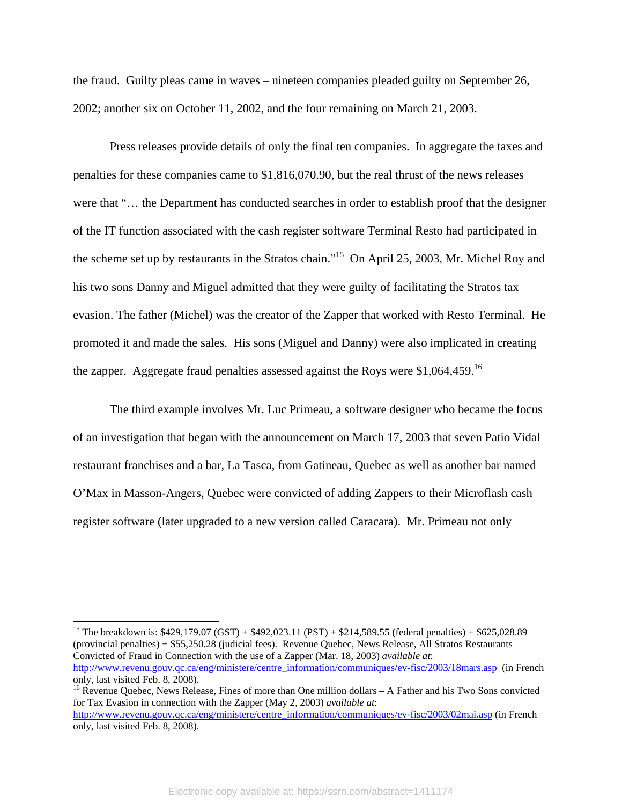the fraud. Guilty pleas came in waves – nineteen companies pleaded guilty on September 26, 2002; another six on October 11, 2002, and the four remaining on March 21, 2003.

Press releases provide details of only the final ten companies. In aggregate the taxes and penalties for these companies came to \$1,816,070.90, but the real thrust of the news releases were that "… the Department has conducted searches in order to establish proof that the designer of the IT function associated with the cash register software Terminal Resto had participated in the scheme set up by restaurants in the Stratos chain."15 On April 25, 2003, Mr. Michel Roy and his two sons Danny and Miguel admitted that they were guilty of facilitating the Stratos tax evasion. The father (Michel) was the creator of the Zapper that worked with Resto Terminal. He promoted it and made the sales. His sons (Miguel and Danny) were also implicated in creating the zapper. Aggregate fraud penalties assessed against the Roys were  $$1,064,459$ <sup>16</sup>

The third example involves Mr. Luc Primeau, a software designer who became the focus of an investigation that began with the announcement on March 17, 2003 that seven Patio Vidal restaurant franchises and a bar, La Tasca, from Gatineau, Quebec as well as another bar named O'Max in Masson-Angers, Quebec were convicted of adding Zappers to their Microflash cash register software (later upgraded to a new version called Caracara). Mr. Primeau not only

<sup>15</sup> The breakdown is: \$429,179.07 (GST) + \$492,023.11 (PST) + \$214,589.55 (federal penalties) + \$625,028.89 (provincial penalties) + \$55,250.28 (judicial fees). Revenue Quebec, News Release, All Stratos Restaurants Convicted of Fraud in Connection with the use of a Zapper (Mar. 18, 2003) *available at*: http://www.revenu.gouv.qc.ca/eng/ministere/centre\_information/communiques/ev-fisc/2003/18mars.asp (in French only, last visited Feb. 8, 2008).  $16$  Revenue Quebec, News Release, Fines of more than One million dollars  $-A$  Father and his Two Sons convicted

l

for Tax Evasion in connection with the Zapper (May 2, 2003) *available at*: http://www.revenu.gouv.qc.ca/eng/ministere/centre\_information/communiques/ev-fisc/2003/02mai.asp (in French only, last visited Feb. 8, 2008).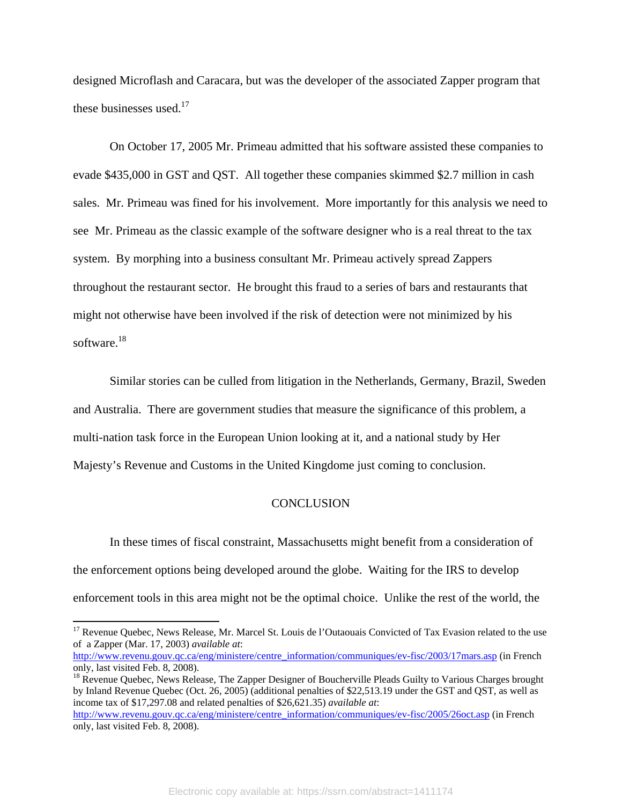designed Microflash and Caracara, but was the developer of the associated Zapper program that these businesses used. $17$ 

On October 17, 2005 Mr. Primeau admitted that his software assisted these companies to evade \$435,000 in GST and QST. All together these companies skimmed \$2.7 million in cash sales. Mr. Primeau was fined for his involvement. More importantly for this analysis we need to see Mr. Primeau as the classic example of the software designer who is a real threat to the tax system. By morphing into a business consultant Mr. Primeau actively spread Zappers throughout the restaurant sector. He brought this fraud to a series of bars and restaurants that might not otherwise have been involved if the risk of detection were not minimized by his software.18

Similar stories can be culled from litigation in the Netherlands, Germany, Brazil, Sweden and Australia. There are government studies that measure the significance of this problem, a multi-nation task force in the European Union looking at it, and a national study by Her Majesty's Revenue and Customs in the United Kingdome just coming to conclusion.

#### **CONCLUSION**

In these times of fiscal constraint, Massachusetts might benefit from a consideration of the enforcement options being developed around the globe. Waiting for the IRS to develop enforcement tools in this area might not be the optimal choice. Unlike the rest of the world, the

l

<sup>&</sup>lt;sup>17</sup> Revenue Quebec, News Release, Mr. Marcel St. Louis de l'Outaouais Convicted of Tax Evasion related to the use of a Zapper (Mar. 17, 2003) *available at*:

http://www.revenu.gouv.qc.ca/eng/ministere/centre\_information/communiques/ev-fisc/2003/17mars.asp (in French only, last visited Feb. 8, 2008).

<sup>&</sup>lt;sup>18</sup> Revenue Quebec, News Release, The Zapper Designer of Boucherville Pleads Guilty to Various Charges brought by Inland Revenue Quebec (Oct. 26, 2005) (additional penalties of \$22,513.19 under the GST and QST, as well as income tax of \$17,297.08 and related penalties of \$26,621.35) *available at*:

http://www.revenu.gouv.qc.ca/eng/ministere/centre\_information/communiques/ev-fisc/2005/26oct.asp (in French only, last visited Feb. 8, 2008).